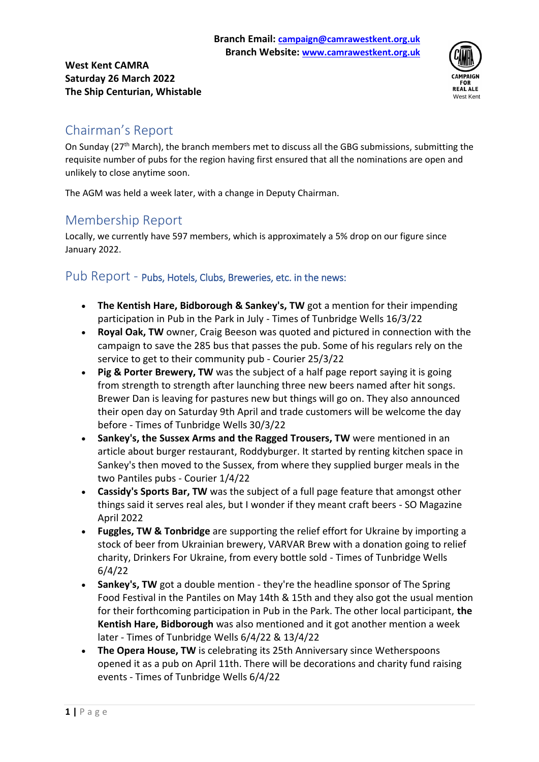#### **West Kent CAMRA Saturday 26 March 2022 The Ship Centurian, Whistable**



# Chairman's Report

On Sunday ( $27<sup>th</sup>$  March), the branch members met to discuss all the GBG submissions, submitting the requisite number of pubs for the region having first ensured that all the nominations are open and unlikely to close anytime soon.

The AGM was held a week later, with a change in Deputy Chairman.

# Membership Report

Locally, we currently have 597 members, which is approximately a 5% drop on our figure since January 2022.

### Pub Report - Pubs, Hotels, Clubs, Breweries, etc. in the news:

- **The Kentish Hare, Bidborough & Sankey's, TW** got a mention for their impending participation in Pub in the Park in July - Times of Tunbridge Wells 16/3/22
- **Royal Oak, TW** owner, Craig Beeson was quoted and pictured in connection with the campaign to save the 285 bus that passes the pub. Some of his regulars rely on the service to get to their community pub - Courier 25/3/22
- **Pig & Porter Brewery, TW** was the subject of a half page report saying it is going from strength to strength after launching three new beers named after hit songs. Brewer Dan is leaving for pastures new but things will go on. They also announced their open day on Saturday 9th April and trade customers will be welcome the day before - Times of Tunbridge Wells 30/3/22
- **Sankey's, the Sussex Arms and the Ragged Trousers, TW** were mentioned in an article about burger restaurant, Roddyburger. It started by renting kitchen space in Sankey's then moved to the Sussex, from where they supplied burger meals in the two Pantiles pubs - Courier 1/4/22
- **Cassidy's Sports Bar, TW** was the subject of a full page feature that amongst other things said it serves real ales, but I wonder if they meant craft beers - SO Magazine April 2022
- **Fuggles, TW & Tonbridge** are supporting the relief effort for Ukraine by importing a stock of beer from Ukrainian brewery, VARVAR Brew with a donation going to relief charity, Drinkers For Ukraine, from every bottle sold - Times of Tunbridge Wells 6/4/22
- **Sankey's, TW** got a double mention they're the headline sponsor of The Spring Food Festival in the Pantiles on May 14th & 15th and they also got the usual mention for their forthcoming participation in Pub in the Park. The other local participant, **the Kentish Hare, Bidborough** was also mentioned and it got another mention a week later - Times of Tunbridge Wells 6/4/22 & 13/4/22
- **The Opera House, TW** is celebrating its 25th Anniversary since Wetherspoons opened it as a pub on April 11th. There will be decorations and charity fund raising events - Times of Tunbridge Wells 6/4/22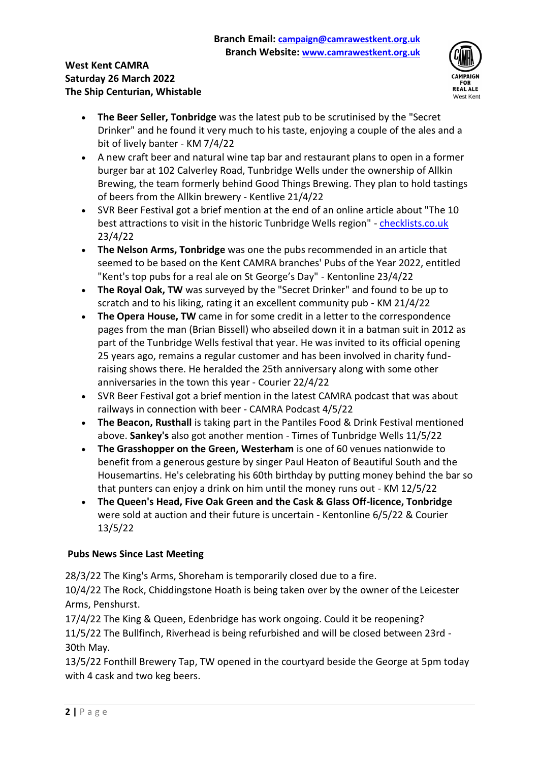#### **West Kent CAMRA Saturday 26 March 2022 The Ship Centurian, Whistable**



- **The Beer Seller, Tonbridge** was the latest pub to be scrutinised by the "Secret Drinker" and he found it very much to his taste, enjoying a couple of the ales and a bit of lively banter - KM 7/4/22
- A new craft beer and natural wine tap bar and restaurant plans to open in a former burger bar at 102 Calverley Road, Tunbridge Wells under the ownership of Allkin Brewing, the team formerly behind Good Things Brewing. They plan to hold tastings of beers from the Allkin brewery - Kentlive 21/4/22
- SVR Beer Festival got a brief mention at the end of an online article about "The 10 best attractions to visit in the historic Tunbridge Wells region" - [checklists.co.uk](https://protect-eu.mimecast.com/s/ZISiCYMw6sPDpY5FGFrlT?domain=checklists.co.uk) 23/4/22
- **The Nelson Arms, Tonbridge** was one the pubs recommended in an article that seemed to be based on the Kent CAMRA branches' Pubs of the Year 2022, entitled "Kent's top pubs for a real ale on St George's Day" - Kentonline 23/4/22
- **The Royal Oak, TW** was surveyed by the "Secret Drinker" and found to be up to scratch and to his liking, rating it an excellent community pub - KM 21/4/22
- **The Opera House, TW** came in for some credit in a letter to the correspondence pages from the man (Brian Bissell) who abseiled down it in a batman suit in 2012 as part of the Tunbridge Wells festival that year. He was invited to its official opening 25 years ago, remains a regular customer and has been involved in charity fundraising shows there. He heralded the 25th anniversary along with some other anniversaries in the town this year - Courier 22/4/22
- SVR Beer Festival got a brief mention in the latest CAMRA podcast that was about railways in connection with beer - CAMRA Podcast 4/5/22
- **The Beacon, Rusthall** is taking part in the Pantiles Food & Drink Festival mentioned above. **Sankey's** also got another mention - Times of Tunbridge Wells 11/5/22
- **The Grasshopper on the Green, Westerham** is one of 60 venues nationwide to benefit from a generous gesture by singer Paul Heaton of Beautiful South and the Housemartins. He's celebrating his 60th birthday by putting money behind the bar so that punters can enjoy a drink on him until the money runs out - KM 12/5/22
- **The Queen's Head, Five Oak Green and the Cask & Glass Off-licence, Tonbridge** were sold at auction and their future is uncertain - Kentonline 6/5/22 & Courier 13/5/22

#### **Pubs News Since Last Meeting**

28/3/22 The King's Arms, Shoreham is temporarily closed due to a fire.

10/4/22 The Rock, Chiddingstone Hoath is being taken over by the owner of the Leicester Arms, Penshurst.

17/4/22 The King & Queen, Edenbridge has work ongoing. Could it be reopening?

11/5/22 The Bullfinch, Riverhead is being refurbished and will be closed between 23rd - 30th May.

13/5/22 Fonthill Brewery Tap, TW opened in the courtyard beside the George at 5pm today with 4 cask and two keg beers.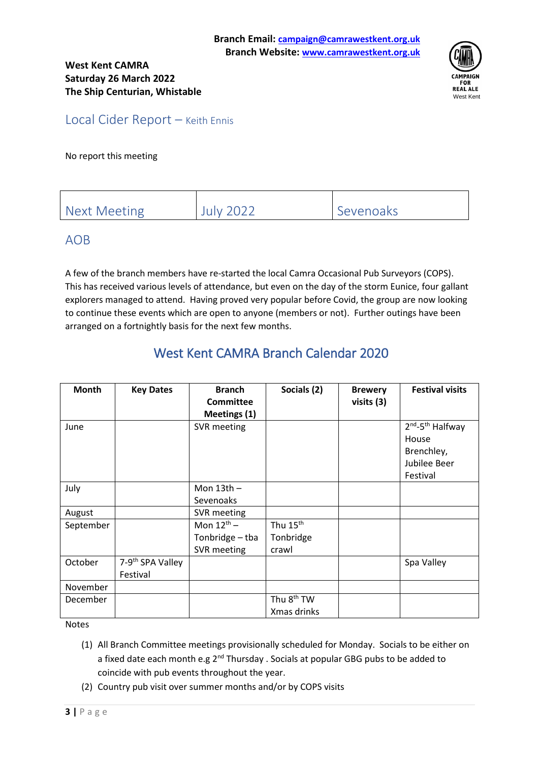

Local Cider Report – Keith Ennis

No report this meeting

| Next Meeting | <b>July 2022</b> | Sevenoaks |
|--------------|------------------|-----------|

## AOB

A few of the branch members have re-started the local Camra Occasional Pub Surveyors (COPS). This has received various levels of attendance, but even on the day of the storm Eunice, four gallant explorers managed to attend. Having proved very popular before Covid, the group are now looking to continue these events which are open to anyone (members or not). Further outings have been arranged on a fortnightly basis for the next few months.

# West Kent CAMRA Branch Calendar 2020

| Month     | <b>Key Dates</b>                         | <b>Branch</b><br><b>Committee</b><br>Meetings (1) | Socials (2)                                | <b>Brewery</b><br>visits (3) | <b>Festival visits</b>                                                                      |
|-----------|------------------------------------------|---------------------------------------------------|--------------------------------------------|------------------------------|---------------------------------------------------------------------------------------------|
| June      |                                          | SVR meeting                                       |                                            |                              | 2 <sup>nd</sup> -5 <sup>th</sup> Halfway<br>House<br>Brenchley,<br>Jubilee Beer<br>Festival |
| July      |                                          | Mon $13th -$<br>Sevenoaks                         |                                            |                              |                                                                                             |
| August    |                                          | SVR meeting                                       |                                            |                              |                                                                                             |
| September |                                          | Mon $12^{th}$ –<br>Tonbridge - tba<br>SVR meeting | Thu 15 <sup>th</sup><br>Tonbridge<br>crawl |                              |                                                                                             |
| October   | 7-9 <sup>th</sup> SPA Valley<br>Festival |                                                   |                                            |                              | Spa Valley                                                                                  |
| November  |                                          |                                                   |                                            |                              |                                                                                             |
| December  |                                          |                                                   | Thu 8 <sup>th</sup> TW<br>Xmas drinks      |                              |                                                                                             |

Notes

- (1) All Branch Committee meetings provisionally scheduled for Monday. Socials to be either on a fixed date each month e.g 2<sup>nd</sup> Thursday . Socials at popular GBG pubs to be added to coincide with pub events throughout the year.
- (2) Country pub visit over summer months and/or by COPS visits